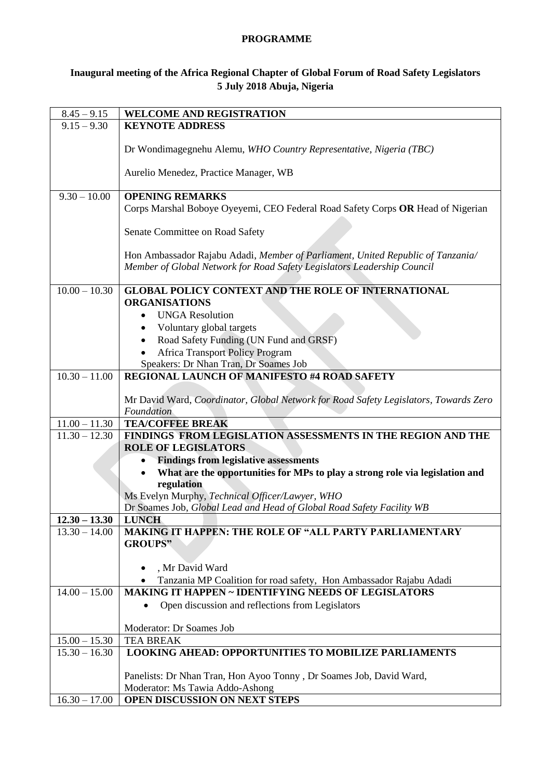## **PROGRAMME**

## **Inaugural meeting of the Africa Regional Chapter of Global Forum of Road Safety Legislators 5 July 2018 Abuja, Nigeria**

| $8.45 - 9.15$                      | <b>WELCOME AND REGISTRATION</b>                                                                        |
|------------------------------------|--------------------------------------------------------------------------------------------------------|
| $9.15 - 9.30$                      | <b>KEYNOTE ADDRESS</b>                                                                                 |
|                                    |                                                                                                        |
|                                    | Dr Wondimagegnehu Alemu, WHO Country Representative, Nigeria (TBC)                                     |
|                                    |                                                                                                        |
|                                    | Aurelio Menedez, Practice Manager, WB                                                                  |
| $9.30 - 10.00$                     | <b>OPENING REMARKS</b>                                                                                 |
|                                    | Corps Marshal Boboye Oyeyemi, CEO Federal Road Safety Corps OR Head of Nigerian                        |
|                                    |                                                                                                        |
|                                    | Senate Committee on Road Safety                                                                        |
|                                    |                                                                                                        |
|                                    | Hon Ambassador Rajabu Adadi, Member of Parliament, United Republic of Tanzania/                        |
|                                    | Member of Global Network for Road Safety Legislators Leadership Council                                |
|                                    |                                                                                                        |
| $10.00 - 10.30$                    | <b>GLOBAL POLICY CONTEXT AND THE ROLE OF INTERNATIONAL</b>                                             |
|                                    | <b>ORGANISATIONS</b>                                                                                   |
|                                    | <b>UNGA Resolution</b><br>$\bullet$                                                                    |
|                                    | Voluntary global targets<br>$\bullet$                                                                  |
|                                    | Road Safety Funding (UN Fund and GRSF)<br>$\bullet$                                                    |
|                                    | <b>Africa Transport Policy Program</b>                                                                 |
|                                    | Speakers: Dr Nhan Tran, Dr Soames Job                                                                  |
| $10.30 - 11.00$                    | <b>REGIONAL LAUNCH OF MANIFESTO #4 ROAD SAFETY</b>                                                     |
|                                    |                                                                                                        |
|                                    | Mr David Ward, Coordinator, Global Network for Road Safety Legislators, Towards Zero                   |
|                                    | Foundation<br><b>TEA/COFFEE BREAK</b>                                                                  |
| $11.00 - 11.30$<br>$11.30 - 12.30$ | FINDINGS FROM LEGISLATION ASSESSMENTS IN THE REGION AND THE                                            |
|                                    | <b>ROLE OF LEGISLATORS</b>                                                                             |
|                                    | <b>Findings from legislative assessments</b>                                                           |
|                                    | What are the opportunities for MPs to play a strong role via legislation and                           |
|                                    | regulation                                                                                             |
|                                    | Ms Evelyn Murphy, Technical Officer/Lawyer, WHO                                                        |
|                                    | Dr Soames Job, Global Lead and Head of Global Road Safety Facility WB                                  |
| $12.30 - 13.30$                    | <b>LUNCH</b>                                                                                           |
| $13.30 - 14.00$                    | <b>MAKING IT HAPPEN: THE ROLE OF "ALL PARTY PARLIAMENTARY</b>                                          |
|                                    | <b>GROUPS"</b>                                                                                         |
|                                    |                                                                                                        |
|                                    | , Mr David Ward                                                                                        |
|                                    | Tanzania MP Coalition for road safety, Hon Ambassador Rajabu Adadi<br>$\bullet$                        |
| $14.00 - 15.00$                    | <b>MAKING IT HAPPEN ~ IDENTIFYING NEEDS OF LEGISLATORS</b>                                             |
|                                    | Open discussion and reflections from Legislators                                                       |
|                                    |                                                                                                        |
|                                    | Moderator: Dr Soames Job                                                                               |
| $15.00 - 15.30$                    | <b>TEA BREAK</b>                                                                                       |
| $15.30 - 16.30$                    | <b>LOOKING AHEAD: OPPORTUNITIES TO MOBILIZE PARLIAMENTS</b>                                            |
|                                    |                                                                                                        |
|                                    | Panelists: Dr Nhan Tran, Hon Ayoo Tonny, Dr Soames Job, David Ward,<br>Moderator: Ms Tawia Addo-Ashong |
| $16.30 - 17.00$                    | OPEN DISCUSSION ON NEXT STEPS                                                                          |
|                                    |                                                                                                        |